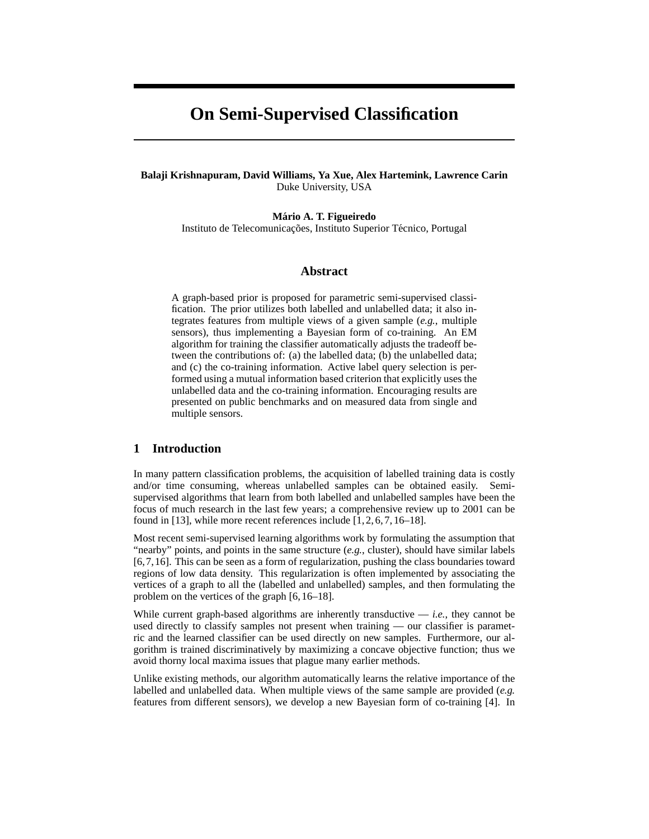# **On Semi-Supervised Classification**

## **Balaji Krishnapuram, David Williams, Ya Xue, Alex Hartemink, Lawrence Carin** Duke University, USA

**Mario A. T. Figueiredo ´** Instituto de Telecomunicações, Instituto Superior Técnico, Portugal

## **Abstract**

A graph-based prior is proposed for parametric semi-supervised classification. The prior utilizes both labelled and unlabelled data; it also integrates features from multiple views of a given sample (*e.g.*, multiple sensors), thus implementing a Bayesian form of co-training. An EM algorithm for training the classifier automatically adjusts the tradeoff between the contributions of: (a) the labelled data; (b) the unlabelled data; and (c) the co-training information. Active label query selection is performed using a mutual information based criterion that explicitly uses the unlabelled data and the co-training information. Encouraging results are presented on public benchmarks and on measured data from single and multiple sensors.

## **1 Introduction**

In many pattern classification problems, the acquisition of labelled training data is costly and/or time consuming, whereas unlabelled samples can be obtained easily. Semisupervised algorithms that learn from both labelled and unlabelled samples have been the focus of much research in the last few years; a comprehensive review up to 2001 can be found in [13], while more recent references include [1, 2, 6, 7, 16–18].

Most recent semi-supervised learning algorithms work by formulating the assumption that "nearby" points, and points in the same structure (*e.g.*, cluster), should have similar labels [6,7,16]. This can be seen as a form of regularization, pushing the class boundaries toward regions of low data density. This regularization is often implemented by associating the vertices of a graph to all the (labelled and unlabelled) samples, and then formulating the problem on the vertices of the graph [6, 16–18].

While current graph-based algorithms are inherently transductive  $-$  *i.e.*, they cannot be used directly to classify samples not present when training — our classifier is parametric and the learned classifier can be used directly on new samples. Furthermore, our algorithm is trained discriminatively by maximizing a concave objective function; thus we avoid thorny local maxima issues that plague many earlier methods.

Unlike existing methods, our algorithm automatically learns the relative importance of the labelled and unlabelled data. When multiple views of the same sample are provided (*e.g.* features from different sensors), we develop a new Bayesian form of co-training [4]. In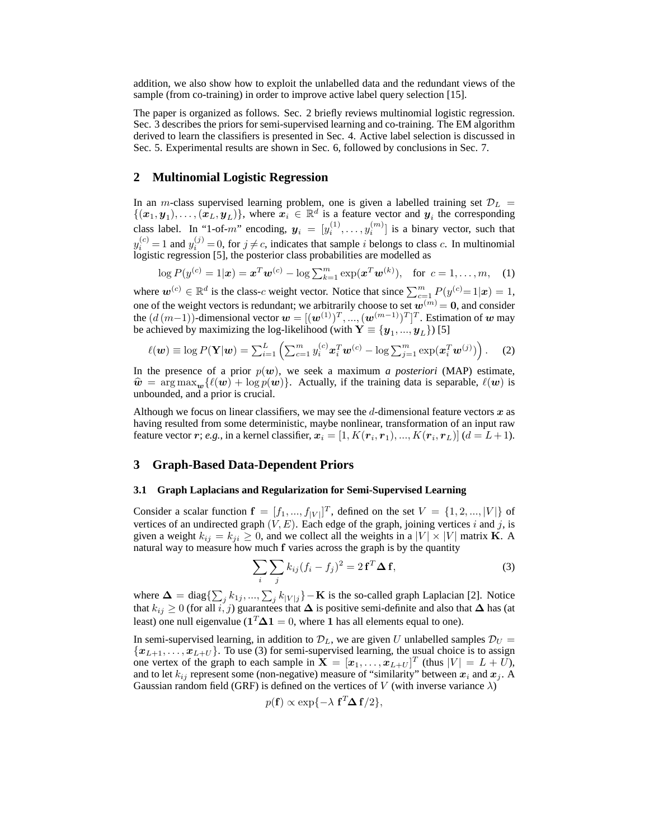addition, we also show how to exploit the unlabelled data and the redundant views of the sample (from co-training) in order to improve active label query selection [15].

The paper is organized as follows. Sec. 2 briefly reviews multinomial logistic regression. Sec. 3 describes the priors for semi-supervised learning and co-training. The EM algorithm derived to learn the classifiers is presented in Sec. 4. Active label selection is discussed in Sec. 5. Experimental results are shown in Sec. 6, followed by conclusions in Sec. 7.

## **2 Multinomial Logistic Regression**

In an m-class supervised learning problem, one is given a labelled training set  $\mathcal{D}_L$  =  $\{(x_1, y_1), \ldots, (x_L, y_L)\}\)$ , where  $x_i \in \mathbb{R}^d$  is a feature vector and  $y_i$  the corresponding class label. In "1-of-m" encoding,  $y_i = [y_i^{(1)}, \dots, y_i^{(m)}]$  is a binary vector, such that  $y_i^{(c)} = 1$  and  $y_i^{(j)} = 0$ , for  $j \neq c$ , indicates that sample i belongs to class c. In multinomial logistic regression [5], the posterior class probabilities are modelled as

$$
\log P(y^{(c)} = 1 | \mathbf{x}) = \mathbf{x}^T \mathbf{w}^{(c)} - \log \sum_{k=1}^m \exp(\mathbf{x}^T \mathbf{w}^{(k)}), \text{ for } c = 1, ..., m, (1)
$$

where  $w^{(c)} \in \mathbb{R}^d$  is the class-c weight vector. Notice that since  $\sum_{c=1}^m P(y^{(c)} = 1 | x) = 1$ , one of the weight vectors is redundant; we arbitrarily choose to set  $w^{(m)} = 0$ , and consider the  $(d(m-1))$ -dimensional vector  $\mathbf{w} = [(\mathbf{w}^{(1)})^T, ..., (\mathbf{w}^{(m-1)})^T]^T$ . Estimation of  $\mathbf{w}$  may be achieved by maximizing the log-likelihood (with  $\mathbf{Y} \equiv \{\boldsymbol{y}_1, ..., \boldsymbol{y}_L\}$ ) [5]

$$
\ell(\boldsymbol{w}) \equiv \log P(\mathbf{Y}|\boldsymbol{w}) = \sum_{i=1}^{L} \left( \sum_{c=1}^{m} y_i^{(c)} \boldsymbol{x}_i^T \boldsymbol{w}^{(c)} - \log \sum_{j=1}^{m} \exp(\boldsymbol{x}_i^T \boldsymbol{w}^{(j)}) \right).
$$
 (2)

In the presence of a prior  $p(w)$ , we seek a maximum *a posteriori* (MAP) estimate,  $\hat{\mathbf{w}} = \arg \max_{\mathbf{w}} {\{\ell(\mathbf{w}) + \log p(\mathbf{w})\}}$ . Actually, if the training data is separable,  $\ell(\mathbf{w})$  is unbounded, and a prior is crucial.

Although we focus on linear classifiers, we may see the d-dimensional feature vectors  $x$  as having resulted from some deterministic, maybe nonlinear, transformation of an input raw feature vector  $r;$   $e.g.,$  in a kernel classifier,  $\boldsymbol{x}_i = [1, K(\boldsymbol{r}_i, \boldsymbol{r}_1), ..., K(\boldsymbol{r}_i, \boldsymbol{r}_L)]$  ( $d = L+1$ ).

## **3 Graph-Based Data-Dependent Priors**

## **3.1 Graph Laplacians and Regularization for Semi-Supervised Learning**

Consider a scalar function  $f = [f_1, ..., f_{|V|}]^T$ , defined on the set  $V = \{1, 2, ..., |V|\}$  of vertices of an undirected graph  $(V, E)$ . Each edge of the graph, joining vertices i and j, is given a weight  $k_{ij} = k_{ji} \ge 0$ , and we collect all the weights in a  $|V| \times |V|$  matrix **K**. A natural way to measure how much f varies across the graph is by the quantity

$$
\sum_{i} \sum_{j} k_{ij} (f_i - f_j)^2 = 2 \mathbf{f}^T \mathbf{\Delta} \mathbf{f},
$$
\n(3)

where  $\mathbf{\Delta} = \text{diag}\{\sum_j k_{1j}, ..., \sum_j k_{|V|j}\} - \mathbf{K}$  is the so-called graph Laplacian [2]. Notice that  $k_{ij} \geq 0$  (for all  $i,j$ ) guarantees that  $\Delta$  is positive semi-definite and also that  $\Delta$  has (at least) one null eigenvalue ( $\mathbf{1}^T \mathbf{\Delta} \mathbf{1} = 0$ , where 1 has all elements equal to one).

In semi-supervised learning, in addition to  $\mathcal{D}_L$ , we are given U unlabelled samples  $\mathcal{D}_U$  =  ${x_{L+1}, \ldots, x_{L+U}}$ . To use (3) for semi-supervised learning, the usual choice is to assign one vertex of the graph to each sample in  $\mathbf{X} = [\mathbf{x}_1, \dots, \mathbf{x}_{L+U}]^T$  (thus  $|V| = L + U$ ), and to let  $k_{ij}$  represent some (non-negative) measure of "similarity" between  $x_i$  and  $x_j$ . A Gaussian random field (GRF) is defined on the vertices of V (with inverse variance  $\lambda$ )

$$
p(\mathbf{f}) \propto \exp\{-\lambda \mathbf{f}^T \mathbf{\Delta} \mathbf{f}/2\},\
$$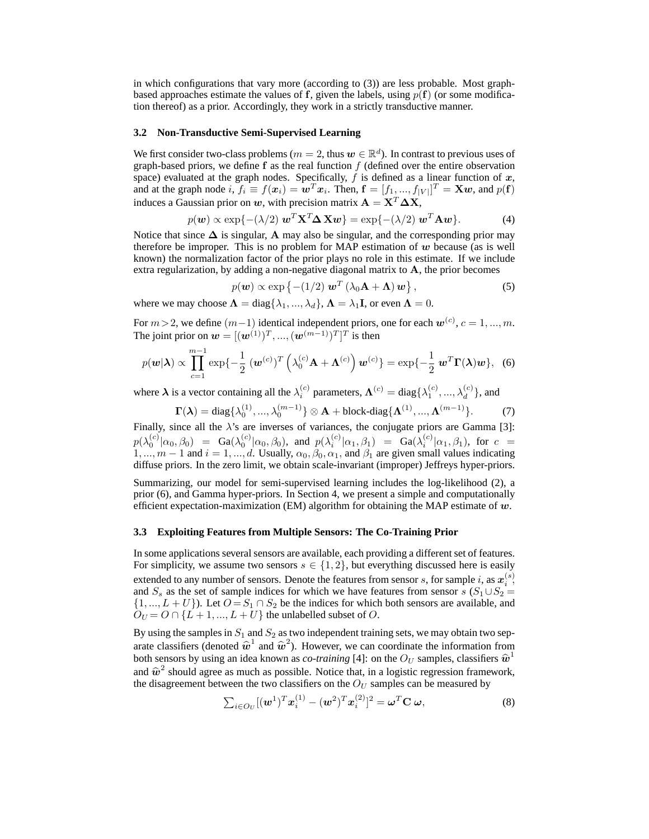in which configurations that vary more (according to (3)) are less probable. Most graphbased approaches estimate the values of f, given the labels, using  $p(f)$  (or some modification thereof) as a prior. Accordingly, they work in a strictly transductive manner.

#### **3.2 Non-Transductive Semi-Supervised Learning**

We first consider two-class problems ( $m=2,$  thus  $\boldsymbol{w}\in\mathbb{R}^d$ ). In contrast to previous uses of graph-based priors, we define  $f$  as the real function  $f$  (defined over the entire observation space) evaluated at the graph nodes. Specifically,  $f$  is defined as a linear function of  $x$ , and at the graph node i,  $f_i \equiv f(x_i) = \boldsymbol{w}^T x_i$ . Then,  $\mathbf{f} = [f_1, ..., f_{|V|}]^T = \mathbf{X}\boldsymbol{w}$ , and  $p(\mathbf{f})$ induces a Gaussian prior on w, with precision matrix  $\mathbf{A} = \mathbf{X}^T \Delta \mathbf{X}$ ,

$$
p(\mathbf{w}) \propto \exp\{-(\lambda/2) \mathbf{w}^T \mathbf{X}^T \mathbf{\Delta} \mathbf{X} \mathbf{w}\} = \exp\{-(\lambda/2) \mathbf{w}^T \mathbf{A} \mathbf{w}\}.
$$
 (4)

Notice that since  $\Delta$  is singular, A may also be singular, and the corresponding prior may therefore be improper. This is no problem for MAP estimation of  $w$  because (as is well known) the normalization factor of the prior plays no role in this estimate. If we include extra regularization, by adding a non-negative diagonal matrix to  $A$ , the prior becomes

$$
p(\mathbf{w}) \propto \exp \left\{ -\left(1/2\right) \mathbf{w}^T \left(\lambda_0 \mathbf{A} + \mathbf{\Lambda}\right) \mathbf{w} \right\},\tag{5}
$$

where we may choose  $\Lambda = \text{diag}\{\lambda_1, ..., \lambda_d\}, \Lambda = \lambda_1 \mathbf{I}$ , or even  $\Lambda = 0$ .

For  $m > 2$ , we define  $(m-1)$  identical independent priors, one for each  $\mathbf{w}^{(c)}$ ,  $c = 1, ..., m$ . The joint prior on  $\mathbf{w} = [(\mathbf{w}^{(1)})^T, ..., (\mathbf{w}^{(m-1)})^T]^T$  is then

$$
p(\mathbf{w}|\boldsymbol{\lambda}) \propto \prod_{c=1}^{m-1} \exp\{-\frac{1}{2} (\mathbf{w}^{(c)})^T \left(\lambda_0^{(c)} \mathbf{A} + \mathbf{\Lambda}^{(c)}\right) \mathbf{w}^{(c)}\} = \exp\{-\frac{1}{2} \mathbf{w}^T \mathbf{\Gamma}(\boldsymbol{\lambda}) \mathbf{w}\}, \quad (6)
$$

where  $\lambda$  is a vector containing all the  $\lambda_i^{(c)}$  parameters,  $\Lambda^{(c)} = \text{diag}\{\lambda_1^{(c)}, ..., \lambda_d^{(c)}\}$ , and

$$
\Gamma(\lambda) = \text{diag}\{\lambda_0^{(1)}, ..., \lambda_0^{(m-1)}\} \otimes \mathbf{A} + \text{block-diag}\{\mathbf{\Lambda}^{(1)}, ..., \mathbf{\Lambda}^{(m-1)}\}.
$$
 (7)

Finally, since all the  $\lambda$ 's are inverses of variances, the conjugate priors are Gamma [3]:  $p(\lambda_0^{(c)} | \alpha_0, \beta_0) = \text{Ga}(\lambda_0^{(c)} | \alpha_0, \beta_0), \text{ and } p(\lambda_i^{(c)} | \alpha_1, \beta_1) = \text{Ga}(\lambda_i^{(c)} | \alpha_1, \beta_1), \text{ for } c = 0$ 1, ...,  $m-1$  and  $i=1, ..., d$ . Usually,  $\alpha_0, \beta_0, \alpha_1$ , and  $\beta_1$  are given small values indicating diffuse priors. In the zero limit, we obtain scale-invariant (improper) Jeffreys hyper-priors.

Summarizing, our model for semi-supervised learning includes the log-likelihood (2), a prior (6), and Gamma hyper-priors. In Section 4, we present a simple and computationally efficient expectation-maximization (EM) algorithm for obtaining the MAP estimate of  $w$ .

#### **3.3 Exploiting Features from Multiple Sensors: The Co-Training Prior**

In some applications several sensors are available, each providing a different set of features. For simplicity, we assume two sensors  $s \in \{1, 2\}$ , but everything discussed here is easily extended to any number of sensors. Denote the features from sensor  $s$ , for sample  $i$ , as  $\boldsymbol{x}_{i}^{(s)}$ , and  $S_s$  as the set of sample indices for which we have features from sensor s  $(S_1 \cup S_2 =$  $\{1, ..., L + U\}$ ). Let  $O = S_1 \cap S_2$  be the indices for which both sensors are available, and  $O_U = O \cap \{L+1, ..., L+U\}$  the unlabelled subset of O.

By using the samples in  $S_1$  and  $S_2$  as two independent training sets, we may obtain two separate classifiers (denoted  $\hat{w}^1$  and  $\hat{w}^2$ ). However, we can coordinate the information from<br>both sensors by using an idea known as so training [4]; on the  $Q_{12}$  samples, classifiers  $\hat{w}^1$ both sensors by using an idea known as *co-training* [4]: on the  $O_U$  samples, classifiers  $\hat{w}^1$ and  $\hat{w}^2$  should agree as much as possible. Notice that, in a logistic regression framework, the disagreement between the two classifiers on the  $\hat{Q}_V$  samples can be measured by the disagreement between the two classifiers on the  $O<sub>U</sub>$  samples can be measured by

$$
\sum_{i\in O_U} [(\boldsymbol{w}^1)^T \boldsymbol{x}_i^{(1)} - (\boldsymbol{w}^2)^T \boldsymbol{x}_i^{(2)}]^2 = \boldsymbol{\omega}^T \mathbf{C} \boldsymbol{\omega},
$$
\n(8)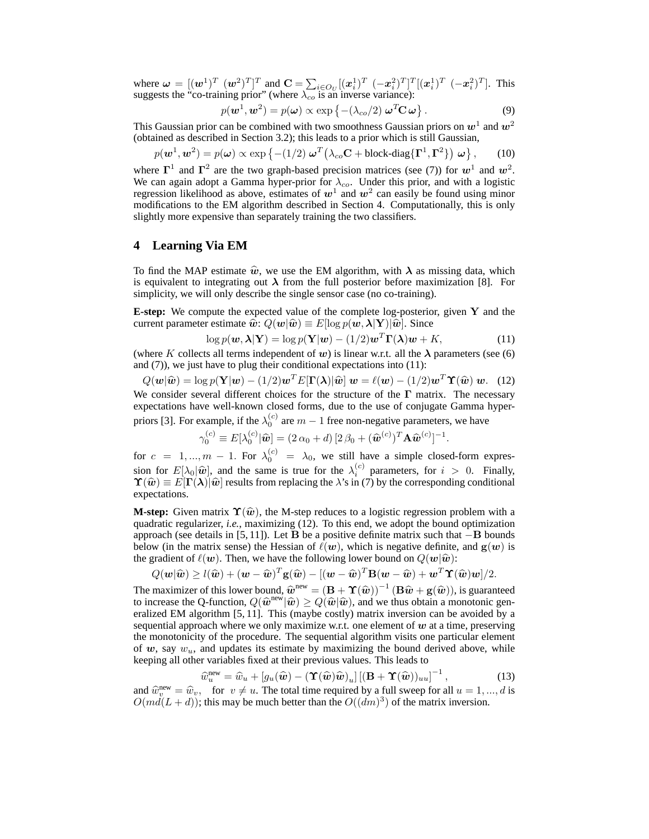where  $\omega = [(\omega^1)^T \ (\omega^2)^T]^T$  and  $\mathbf{C} = \sum_{i \in O_U} [(\mathbf{x}_i^1)^T \ (-\mathbf{x}_i^2)^T]^T [(\mathbf{x}_i^1)^T \ (-\mathbf{x}_i^2)^T]$ . This suggests the "co-training prior" (where  $\lambda_{co}$  is an inverse variance):

$$
p(\mathbf{w}^1, \mathbf{w}^2) = p(\boldsymbol{\omega}) \propto \exp\left\{ -(\lambda_{co}/2) \ \boldsymbol{\omega}^T \mathbf{C} \ \boldsymbol{\omega} \right\}.
$$
 (9)

This Gaussian prior can be combined with two smoothness Gaussian priors on  $w^1$  and  $w^2$ (obtained as described in Section 3.2); this leads to a prior which is still Gaussian,

$$
p(\boldsymbol{w}^1, \boldsymbol{w}^2) = p(\boldsymbol{\omega}) \propto \exp\left\{-(1/2)\ \boldsymbol{\omega}^T\big(\lambda_{co}\mathbf{C} + \text{block-diag}\{\boldsymbol{\Gamma}^1, \boldsymbol{\Gamma}^2\}\big)\ \boldsymbol{\omega}\right\},\qquad(10)
$$

where  $\Gamma^1$  and  $\Gamma^2$  are the two graph-based precision matrices (see (7)) for  $w^1$  and  $w^2$ . We can again adopt a Gamma hyper-prior for  $\lambda_{co}$ . Under this prior, and with a logistic regression likelihood as above, estimates of  $w^1$  and  $w^2$  can easily be found using minor modifications to the EM algorithm described in Section 4. Computationally, this is only slightly more expensive than separately training the two classifiers.

## **4 Learning Via EM**

To find the MAP estimate  $\hat{w}$ , we use the EM algorithm, with  $\lambda$  as missing data, which is equivalent to integrating out  $\lambda$  from the full posterior before maximization [8]. For simplicity, we will only describe the single sensor case (no co-training).

**E-step:** We compute the expected value of the complete log-posterior, given Y and the current parameter estimate  $\hat{w}$ :  $Q(\mathbf{w}|\hat{\mathbf{w}}) \equiv E[\log p(\mathbf{w},\boldsymbol{\lambda}|\mathbf{Y})|\hat{\mathbf{w}}]$ . Since

$$
\log p(\mathbf{w}, \boldsymbol{\lambda} | \mathbf{Y}) = \log p(\mathbf{Y} | \mathbf{w}) - (1/2) \mathbf{w}^T \mathbf{\Gamma}(\boldsymbol{\lambda}) \mathbf{w} + K,\tag{11}
$$

(where K collects all terms independent of w) is linear w.r.t. all the  $\lambda$  parameters (see (6) and (7)), we just have to plug their conditional expectations into (11):

 $Q(\boldsymbol{w}|\widehat{\boldsymbol{w}}) = \log p(\mathbf{Y}|\boldsymbol{w}) - (1/2)\boldsymbol{w}^T E[\boldsymbol{\Gamma}(\boldsymbol{\lambda})|\widehat{\boldsymbol{w}}] \ \boldsymbol{w} = \ell(\boldsymbol{w}) - (1/2)\boldsymbol{w}^T \boldsymbol{\Upsilon}(\widehat{\boldsymbol{w}}) \ \boldsymbol{w}.$  (12) We consider several different choices for the structure of the  $\Gamma$  matrix. The necessary expectations have well-known closed forms, due to the use of conjugate Gamma hyperpriors [3]. For example, if the  $\lambda_0^{(c)}$  are  $m-1$  free non-negative parameters, we have

$$
\gamma_0^{(c)} \equiv E[\lambda_0^{(c)} | \widehat{\boldsymbol{w}}] = (2 \alpha_0 + d) [2 \beta_0 + (\widehat{\boldsymbol{w}}^{(c)})^T \mathbf{A} \widehat{\boldsymbol{w}}^{(c)}]^{-1}.
$$

for  $c = 1, ..., m - 1$ . For  $\lambda_0^{(c)} = \lambda_0$ , we still have a simple closed-form expression for  $E[\lambda_0|\hat{\boldsymbol{w}}]$ , and the same is true for the  $\lambda_i^{(c)}$  parameters, for  $i > 0$ . Finally,<br>  $\Upsilon(\hat{\boldsymbol{w}}) = E[\Gamma(\lambda)|\hat{\boldsymbol{w}}]$  results from replacing the  $\lambda$ 's in (7) by the corresponding conditional  $\Upsilon(\hat{w}) \equiv E[\Gamma(\lambda)]\hat{w}$  results from replacing the  $\lambda$ 's in (7) by the corresponding conditional expectations.

**M-step:** Given matrix  $\Upsilon(\hat{w})$ , the M-step reduces to a logistic regression problem with a quadratic regularizer, *i.e.*, maximizing (12). To this end, we adopt the bound optimization approach (see details in [5, 11]). Let B be a positive definite matrix such that  $-B$  bounds below (in the matrix sense) the Hessian of  $\ell(w)$ , which is negative definite, and  $g(w)$  is the gradient of  $\ell(w)$ . Then, we have the following lower bound on  $Q(\mathbf{w}|\hat{\mathbf{w}})$ :

$$
Q(\mathbf{w}|\widehat{\mathbf{w}}) \geq l(\widehat{\mathbf{w}}) + (\mathbf{w} - \widehat{\mathbf{w}})^T \mathbf{g}(\widehat{\mathbf{w}}) - [(\mathbf{w} - \widehat{\mathbf{w}})^T \mathbf{B}(\mathbf{w} - \widehat{\mathbf{w}}) + \mathbf{w}^T \mathbf{\widehat{T}}(\widehat{\mathbf{w}})\mathbf{w}]/2.
$$

The maximizer of this lower bound,  $\hat{w}^{\text{new}} = (\mathbf{B} + \Upsilon(\hat{w}))^{-1} (\mathbf{B}\hat{w} + \mathbf{g}(\hat{w}))$ , is guaranteed to increase the O-function  $O(\hat{w}^{\text{new}}|\hat{w}) > O(\hat{w}|\hat{w})$  and we thus obtain a monotonic gento increase the Q-function,  $Q(\hat{\boldsymbol{w}}^{\text{new}}|\hat{\boldsymbol{w}}) \ge Q(\hat{\boldsymbol{w}}|\hat{\boldsymbol{w}})$ , and we thus obtain a monotonic generalized EM algorithm [5, 11]. This (maybe costly) matrix inversion can be avoided by a eralized EM algorithm [5, 11]. This (maybe costly) matrix inversion can be avoided by a sequential approach where we only maximize w.r.t. one element of  $w$  at a time, preserving the monotonicity of the procedure. The sequential algorithm visits one particular element of w, say  $w_u$ , and updates its estimate by maximizing the bound derived above, while keeping all other variables fixed at their previous values. This leads to

$$
\widehat{w}_u^{\text{new}} = \widehat{w}_u + [g_u(\widehat{\boldsymbol{w}}) - (\mathbf{\hat{T}}(\widehat{\boldsymbol{w}})\widehat{\boldsymbol{w}})_u] \left[ (\mathbf{B} + \mathbf{\hat{T}}(\widehat{\boldsymbol{w}}))_{uu} \right]^{-1},\tag{13}
$$

and  $\hat{w}_v^{\text{new}} = \hat{w}_v$ , for  $v \neq u$ . The total time required by a full sweep for all  $u = 1, ..., d$  is  $O(m d (L + d))$ ; this may be much better than the  $O((dm)^3)$  of the matrix inversion  $O(md(L+d))$ ; this may be much better than the  $O((dm)^3)$  of the matrix inversion.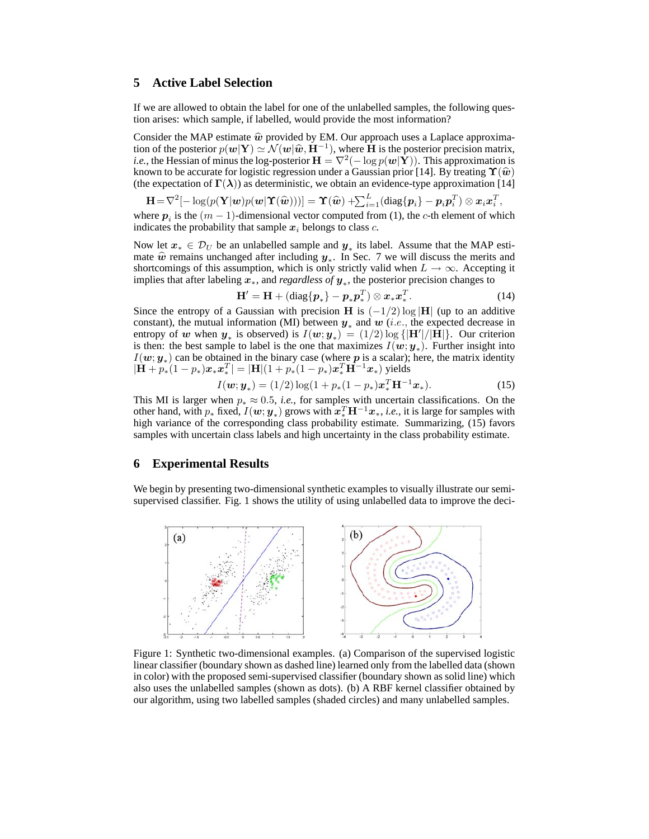## **5 Active Label Selection**

If we are allowed to obtain the label for one of the unlabelled samples, the following question arises: which sample, if labelled, would provide the most information?

Consider the MAP estimate  $\hat{w}$  provided by EM. Our approach uses a Laplace approximation of the posterior  $p(w|\mathbf{Y}) \simeq \mathcal{N}(w|\hat{w}, \mathbf{H}^{-1})$ , where  $\mathbf{\hat{H}}$  is the posterior precision matrix, *i.e.*, the Hessian of minus the log-posterior  $\mathbf{H} = \nabla^2(-\log p(\boldsymbol{w}|\mathbf{Y}))$ . This approximation is known to be accurate for logistic regression under a Gaussian prior [14]. By treating  $\Upsilon(\hat{w})$ (the expectation of  $\Gamma(\lambda)$ ) as deterministic, we obtain an evidence-type approximation [14]

$$
[\mathbf{H}\!=\!\nabla^2[-\log(p(\mathbf{Y}|\boldsymbol{w})p(\boldsymbol{w}|\mathbf{\hat{T}}(\widehat{\boldsymbol{w}})))] = \mathbf{\hat{T}}(\widehat{\boldsymbol{w}}) + \!\!\sum_{i=1}^{L}(\text{diag}\{\boldsymbol{p}_i\} - \boldsymbol{p}_i\boldsymbol{p}_i^T) \otimes \boldsymbol{x}_i\boldsymbol{x}_i^T,
$$

where  $p_i$  is the  $(m-1)$ -dimensional vector computed from (1), the c-th element of which indicates the probability that sample  $x_i$  belongs to class c.

Now let  $x_* \in \mathcal{D}_U$  be an unlabelled sample and  $y_*$  its label. Assume that the MAP estimate  $\hat{w}$  remains unchanged after including  $y_*$ . In Sec. 7 we will discuss the merits and shortcomings of this assumption, which is only strictly valid when  $L \to \infty$ . Accepting it shortcomings of this assumption, which is only strictly valid when  $L \rightarrow \infty$ . Accepting it implies that after labeling x∗, and *regardless of* y<sup>∗</sup> , the posterior precision changes to

$$
\mathbf{H}' = \mathbf{H} + (\text{diag}\{p_*\} - p_* p_*^T) \otimes x_* x_*^T.
$$
 (14)

Since the entropy of a Gaussian with precision H is  $(-1/2)$  log  $|H|$  (up to an additive constant), the mutual information (MI) between  $y_*$  and  $w$  (*i.e.*, the expected decrease in entropy of w when  $y_*$  is observed) is  $I(w; y_*) = (1/2) \log \{|\mathbf{H}'|/|\mathbf{\hat{H}}|\}$ . Our criterion is then: the best sample to label is the one that maximizes  $I(w; y_*)$ . Further insight into  $I(w; y_*)$  can be obtained in the binary case (where p is a scalar); here, the matrix identity  $|\dot{\mathbf{H}} + p_*(1-p_*)\bm{x}_*\bm{x}_*^T| = |\mathbf{H}|(1+p_*(1-p_*)\bm{x}_*^T\mathbf{H}^{-1}\bm{x}_*)$  yields

$$
I(\boldsymbol{w}; \boldsymbol{y}_{*}) = (1/2) \log(1 + p_{*}(1 - p_{*}) \boldsymbol{x}_{*}^{T} \mathbf{H}^{-1} \boldsymbol{x}_{*}).
$$
\n(15)

This MI is larger when  $p_* \approx 0.5$ , *i.e.*, for samples with uncertain classifications. On the other hand, with  $p_*$  fixed,  $I(w; y_*)$  grows with  $x_*^T H^{-1}x_*, i.e.,$  it is large for samples with high variance of the corresponding class probability estimate. Summarizing, (15) favors samples with uncertain class labels and high uncertainty in the class probability estimate.

## **6 Experimental Results**

We begin by presenting two-dimensional synthetic examples to visually illustrate our semisupervised classifier. Fig. 1 shows the utility of using unlabelled data to improve the deci-



Figure 1: Synthetic two-dimensional examples. (a) Comparison of the supervised logistic linear classifier (boundary shown as dashed line) learned only from the labelled data (shown in color) with the proposed semi-supervised classifier (boundary shown as solid line) which also uses the unlabelled samples (shown as dots). (b) A RBF kernel classifier obtained by our algorithm, using two labelled samples (shaded circles) and many unlabelled samples.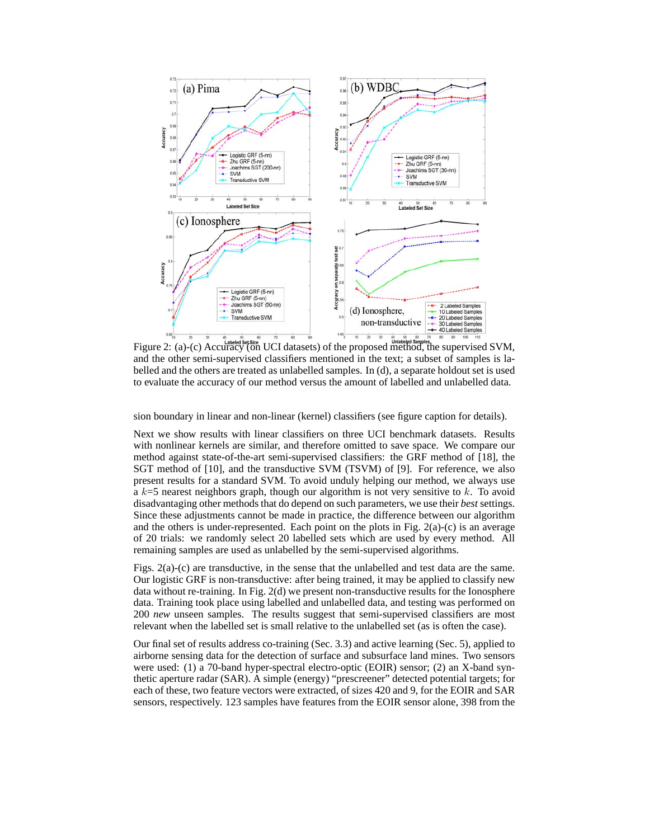

Figure 2: (a)-(c) Accuracy (on UCI datasets) of the proposed method, the supervised SVM, and the other semi-supervised classifiers mentioned in the text; a subset of samples is labelled and the others are treated as unlabelled samples. In (d), a separate holdout set is used to evaluate the accuracy of our method versus the amount of labelled and unlabelled data.

sion boundary in linear and non-linear (kernel) classifiers (see figure caption for details).

Next we show results with linear classifiers on three UCI benchmark datasets. Results with nonlinear kernels are similar, and therefore omitted to save space. We compare our method against state-of-the-art semi-supervised classifiers: the GRF method of [18], the SGT method of [10], and the transductive SVM (TSVM) of [9]. For reference, we also present results for a standard SVM. To avoid unduly helping our method, we always use a  $k=5$  nearest neighbors graph, though our algorithm is not very sensitive to k. To avoid disadvantaging other methods that do depend on such parameters, we use their *best* settings. Since these adjustments cannot be made in practice, the difference between our algorithm and the others is under-represented. Each point on the plots in Fig.  $2(a)-(c)$  is an average of 20 trials: we randomly select 20 labelled sets which are used by every method. All remaining samples are used as unlabelled by the semi-supervised algorithms.

Figs. 2(a)-(c) are transductive, in the sense that the unlabelled and test data are the same. Our logistic GRF is non-transductive: after being trained, it may be applied to classify new data without re-training. In Fig. 2(d) we present non-transductive results for the Ionosphere data. Training took place using labelled and unlabelled data, and testing was performed on 200 *new* unseen samples. The results suggest that semi-supervised classifiers are most relevant when the labelled set is small relative to the unlabelled set (as is often the case).

Our final set of results address co-training (Sec. 3.3) and active learning (Sec. 5), applied to airborne sensing data for the detection of surface and subsurface land mines. Two sensors were used: (1) a 70-band hyper-spectral electro-optic (EOIR) sensor; (2) an X-band synthetic aperture radar (SAR). A simple (energy) "prescreener" detected potential targets; for each of these, two feature vectors were extracted, of sizes 420 and 9, for the EOIR and SAR sensors, respectively. 123 samples have features from the EOIR sensor alone, 398 from the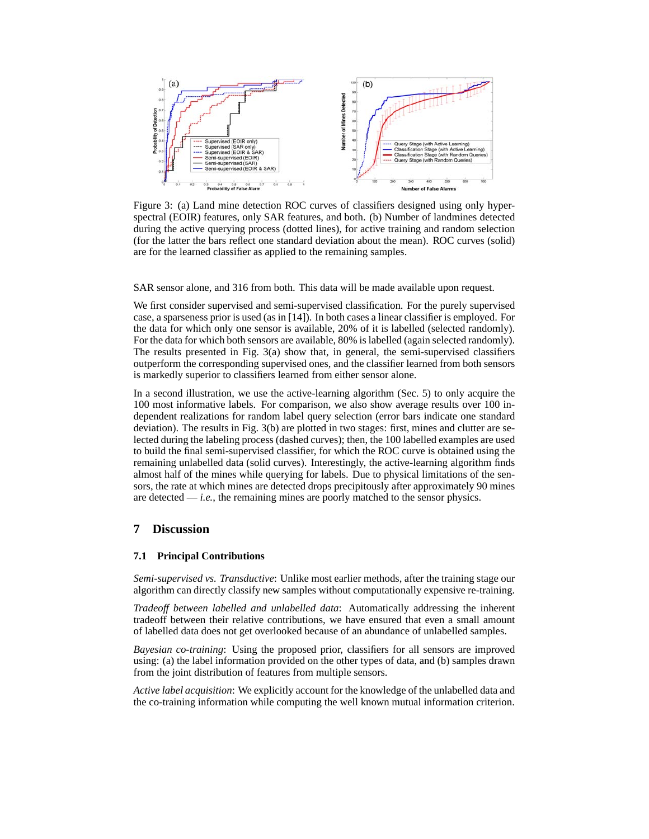

Figure 3: (a) Land mine detection ROC curves of classifiers designed using only hyperspectral (EOIR) features, only SAR features, and both. (b) Number of landmines detected during the active querying process (dotted lines), for active training and random selection (for the latter the bars reflect one standard deviation about the mean). ROC curves (solid) are for the learned classifier as applied to the remaining samples.

SAR sensor alone, and 316 from both. This data will be made available upon request.

We first consider supervised and semi-supervised classification. For the purely supervised case, a sparseness prior is used (as in [14]). In both cases a linear classifier is employed. For the data for which only one sensor is available, 20% of it is labelled (selected randomly). For the data for which both sensors are available, 80% is labelled (again selected randomly). The results presented in Fig. 3(a) show that, in general, the semi-supervised classifiers outperform the corresponding supervised ones, and the classifier learned from both sensors is markedly superior to classifiers learned from either sensor alone.

In a second illustration, we use the active-learning algorithm (Sec. 5) to only acquire the 100 most informative labels. For comparison, we also show average results over 100 independent realizations for random label query selection (error bars indicate one standard deviation). The results in Fig. 3(b) are plotted in two stages: first, mines and clutter are selected during the labeling process (dashed curves); then, the 100 labelled examples are used to build the final semi-supervised classifier, for which the ROC curve is obtained using the remaining unlabelled data (solid curves). Interestingly, the active-learning algorithm finds almost half of the mines while querying for labels. Due to physical limitations of the sensors, the rate at which mines are detected drops precipitously after approximately 90 mines are detected  $-i.e.,$  the remaining mines are poorly matched to the sensor physics.

## **7 Discussion**

#### **7.1 Principal Contributions**

*Semi-supervised vs. Transductive*: Unlike most earlier methods, after the training stage our algorithm can directly classify new samples without computationally expensive re-training.

*Tradeoff between labelled and unlabelled data*: Automatically addressing the inherent tradeoff between their relative contributions, we have ensured that even a small amount of labelled data does not get overlooked because of an abundance of unlabelled samples.

*Bayesian co-training*: Using the proposed prior, classifiers for all sensors are improved using: (a) the label information provided on the other types of data, and (b) samples drawn from the joint distribution of features from multiple sensors.

*Active label acquisition*: We explicitly account for the knowledge of the unlabelled data and the co-training information while computing the well known mutual information criterion.